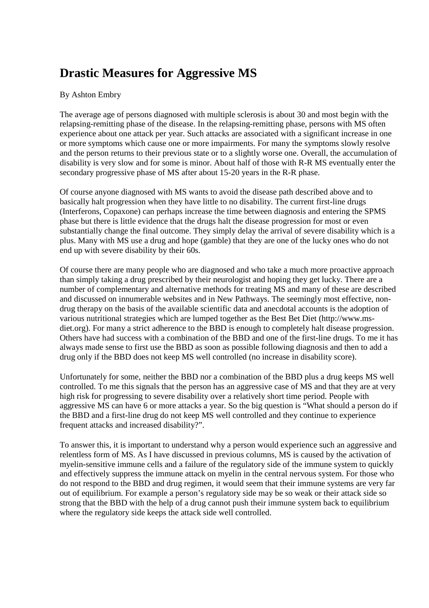## **Drastic Measures for Aggressive MS**

## By Ashton Embry

The average age of persons diagnosed with multiple sclerosis is about 30 and most begin with the relapsing-remitting phase of the disease. In the relapsing-remitting phase, persons with MS often experience about one attack per year. Such attacks are associated with a significant increase in one or more symptoms which cause one or more impairments. For many the symptoms slowly resolve and the person returns to their previous state or to a slightly worse one. Overall, the accumulation of disability is very slow and for some is minor. About half of those with R-R MS eventually enter the secondary progressive phase of MS after about 15-20 years in the R-R phase.

Of course anyone diagnosed with MS wants to avoid the disease path described above and to basically halt progression when they have little to no disability. The current first-line drugs (Interferons, Copaxone) can perhaps increase the time between diagnosis and entering the SPMS phase but there is little evidence that the drugs halt the disease progression for most or even substantially change the final outcome. They simply delay the arrival of severe disability which is a plus. Many with MS use a drug and hope (gamble) that they are one of the lucky ones who do not end up with severe disability by their 60s.

Of course there are many people who are diagnosed and who take a much more proactive approach than simply taking a drug prescribed by their neurologist and hoping they get lucky. There are a number of complementary and alternative methods for treating MS and many of these are described and discussed on innumerable websites and in New Pathways. The seemingly most effective, nondrug therapy on the basis of the available scientific data and anecdotal accounts is the adoption of various nutritional strategies which are lumped together as the Best Bet Diet (http://www.msdiet.org). For many a strict adherence to the BBD is enough to completely halt disease progression. Others have had success with a combination of the BBD and one of the first-line drugs. To me it has always made sense to first use the BBD as soon as possible following diagnosis and then to add a drug only if the BBD does not keep MS well controlled (no increase in disability score).

Unfortunately for some, neither the BBD nor a combination of the BBD plus a drug keeps MS well controlled. To me this signals that the person has an aggressive case of MS and that they are at very high risk for progressing to severe disability over a relatively short time period. People with aggressive MS can have 6 or more attacks a year. So the big question is "What should a person do if the BBD and a first-line drug do not keep MS well controlled and they continue to experience frequent attacks and increased disability?".

To answer this, it is important to understand why a person would experience such an aggressive and relentless form of MS. As I have discussed in previous columns, MS is caused by the activation of myelin-sensitive immune cells and a failure of the regulatory side of the immune system to quickly and effectively suppress the immune attack on myelin in the central nervous system. For those who do not respond to the BBD and drug regimen, it would seem that their immune systems are very far out of equilibrium. For example a person's regulatory side may be so weak or their attack side so strong that the BBD with the help of a drug cannot push their immune system back to equilibrium where the regulatory side keeps the attack side well controlled.